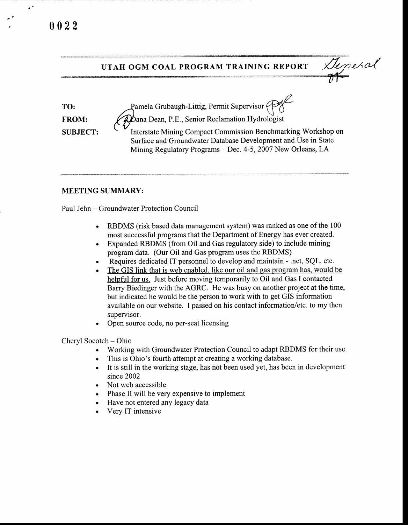$\epsilon^2$ 



## MEETING SUMMARY:

Paul Jehn - Groundwater Protection Council

- . RBDMS (risk based data management system) was ranked as one of the 100 most successful programs that the Department of Energy has ever created.
- . Expanded RBDMS (from Oil and Gas regulatory side) to include mining program data. (Our Oil and Gas program uses the RBDMS)
- . Requires dedicated IT personnel to develop and maintain .net, SQL, etc.
- . The GIS link that is web enabled. like our oil and gas program has, would be helpful for us. Just before moving temporarily to Oil and Gas I contacted Barry Biedinger with the AGRC. He was busy on another project at the time, but indicated he would be the person to work with to get GIS information available on our website. I passed on his contact information/etc. to my then supervisor.
- . Open source code, no per-seat licensing

Cheryl Socotch - Ohio

- . Working with Groundwater Protection Council to adapt RBDMS for their use.
- . This is Ohio's fourth attempt at creating a working database.
- . It is still in the working stage, has not been used yet, has been in development since 2002
- Not web accessible
- . Phase II will be very expensive to implement
- . Have not entered any legacy data
- . Very IT intensive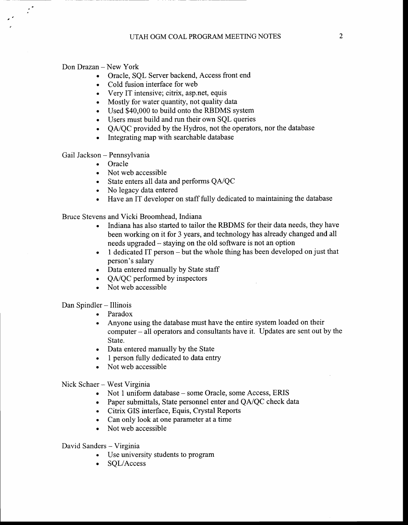Don Drazan – New York

 $\mathcal{L}^{\bullet}$ 

- . Oracle, SQL Server backend, Access front end
- ' Cold fusion interface for web
- . Very IT intensive; citrix, asp.net, equis
- . Mostly for water quantity, not quality data
- . Used \$40,000 to build onto the RBDMS system
- . Users must build and run their own SQL queries
- QA/QC provided by the Hydros, not the operators, nor the database<br>• Integrating map with searchable database
- . Integrating map with searchable database

Gail Jackson - Pennsylvania

- . Oracle
- . Not web accessible
- . State enters all data and performs QA/QC
- No legacy data entered
- . Have an IT developer on staff fully dedicated to maintaining the database

Bruce Stevens and Vicki Broomhead, Indiana

- . Indiana has also started to tailor the RBDMS for their data needs, they have been working on it for 3 years, and technology has already changed and all needs upgraded - staying on the old software is not an option
- $\bullet$  1 dedicated IT person but the whole thing has been developed on just that person's salary
- . Data entered manually by State staff
- QA/QC performed by inspectors
- . Not web accessible

Dan Spindler - Illinois

- . Paradox
- . Anyone using the database must have the entire system loaded on their computer - all operators and consultants have it. Updates are sent out by the State.
- . Data entered manually by the State
- 1 person fully dedicated to data entry
- . Not web accessible

Nick Schaer - West Virginia

- . Not 1 uniform database some Oracle, some Access, ERIS
- Paper submittals, State personnel enter and QA/QC check data
- . Citrix GIS interface, Equis, Crystal Reports
- . Can only look at one parameter at a time
- . Not web accessible

David Sanders - Virginia

- Use university students to program
- ' SQL/Access